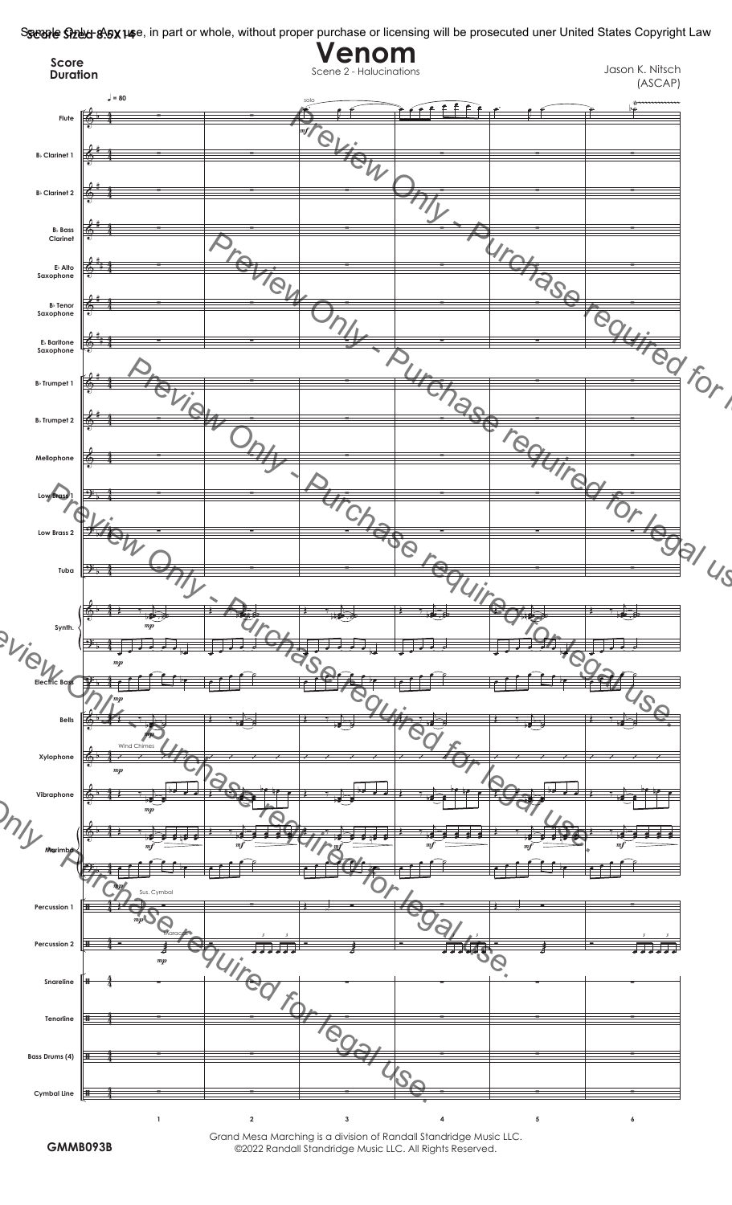S**seaple Stelu 8.5X14**e, in part or whole, without proper purchase or licensing will be prosecuted uner United States Copyright Law



Grand Mesa Marching is a division of Randall Standridge Music LLC. ©2022 Randall Standridge Music LLC. All Rights Reserved.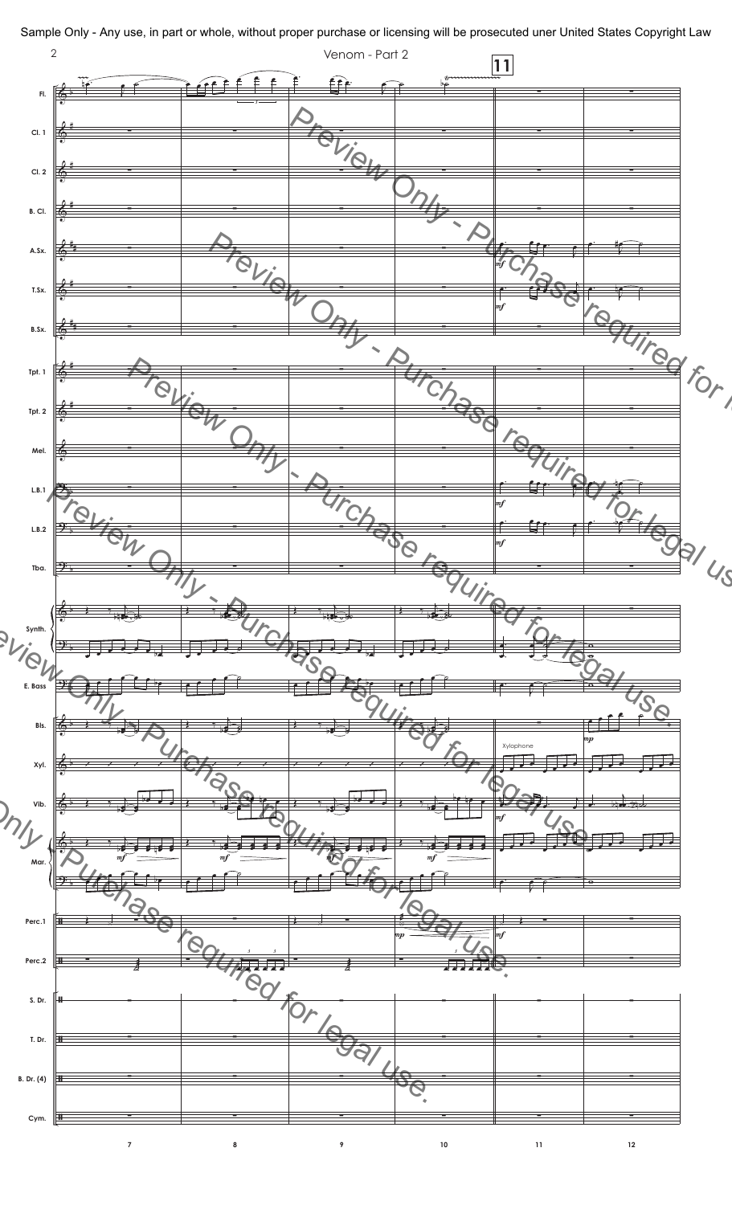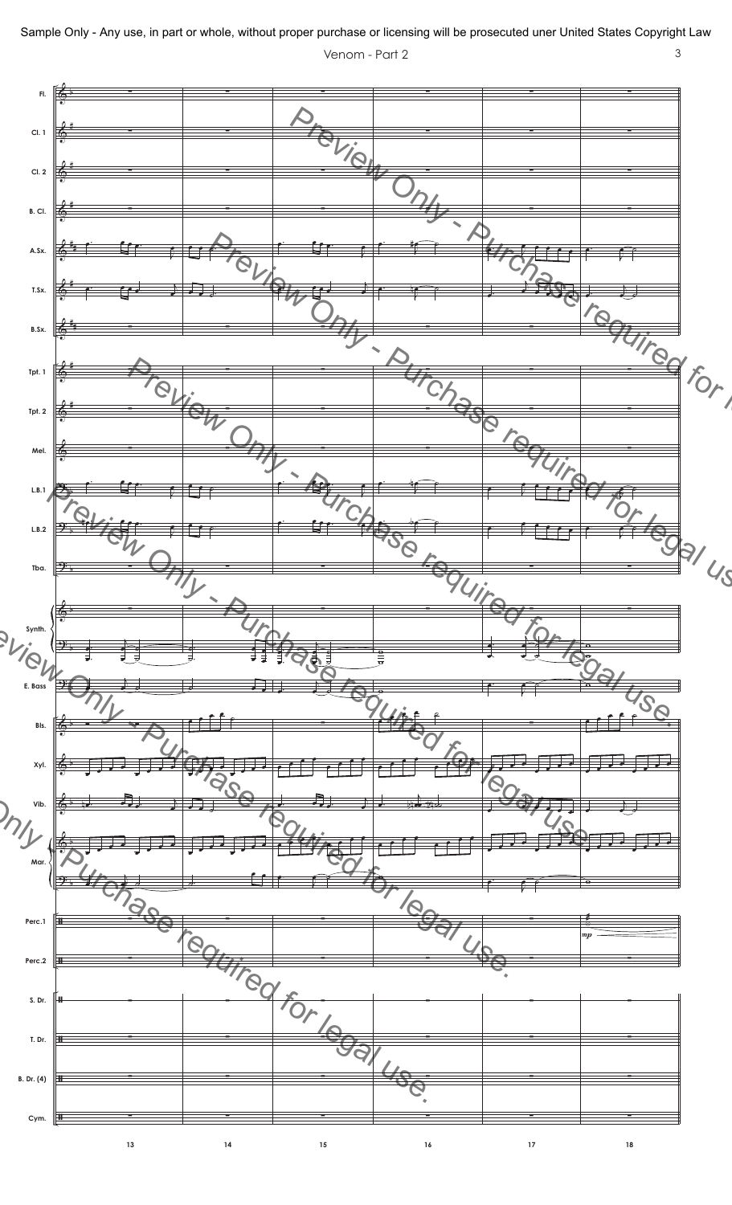

Sample Only - Any use, in part or whole, without proper purchase or licensing will be prosecuted uner United States Copyright Law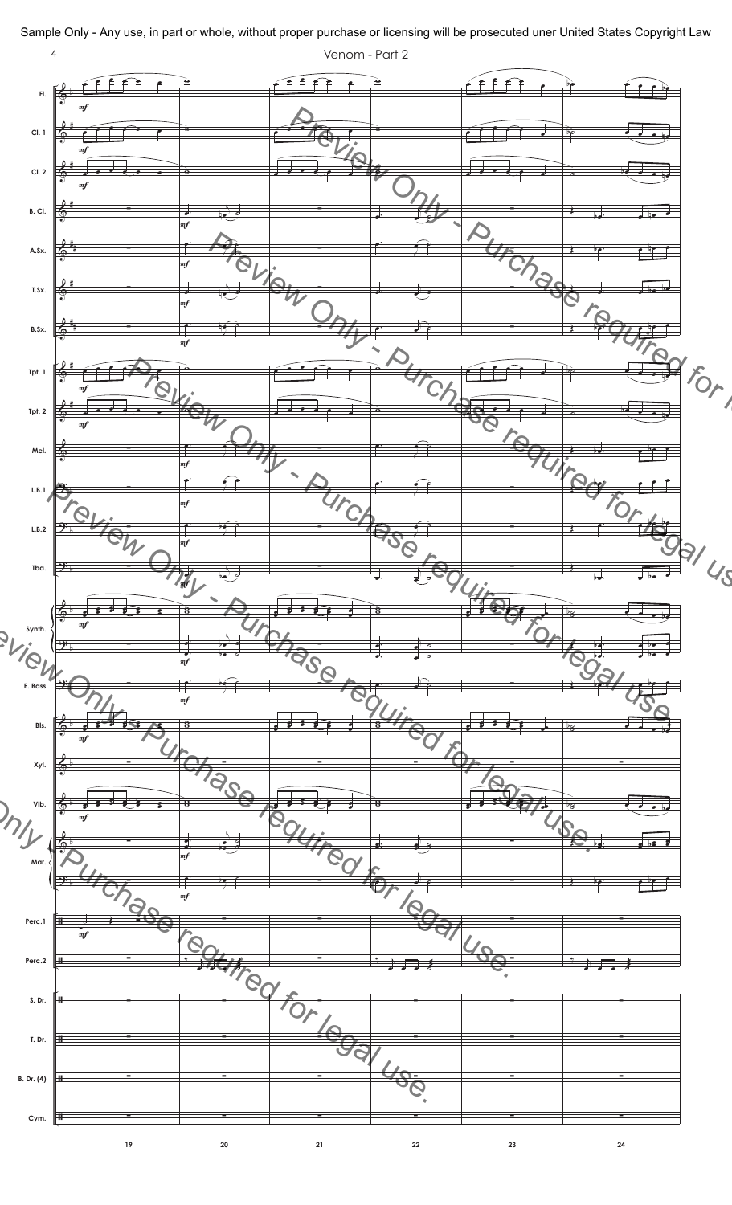

Sample Only - Any use, in part or whole, without proper purchase or licensing will be prosecuted uner United States Copyright Law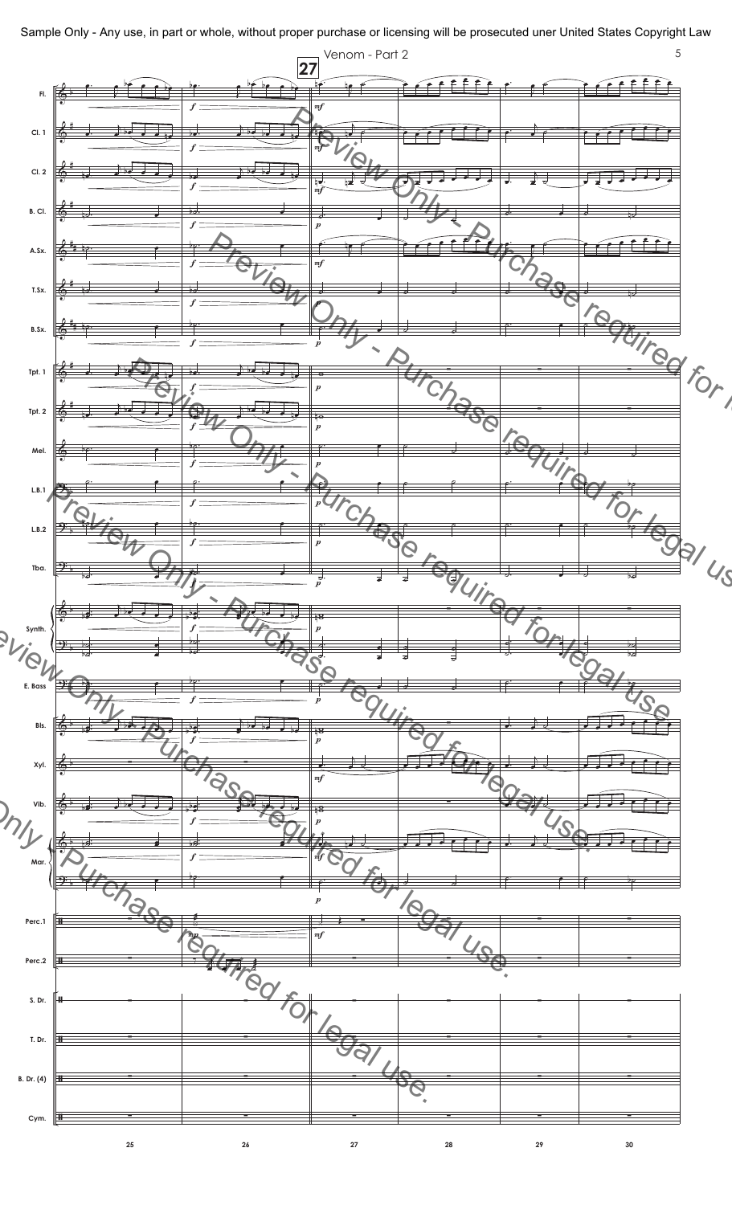Sample Only - Any use, in part or whole, without proper purchase or licensing will be prosecuted uner United States Copyright Law

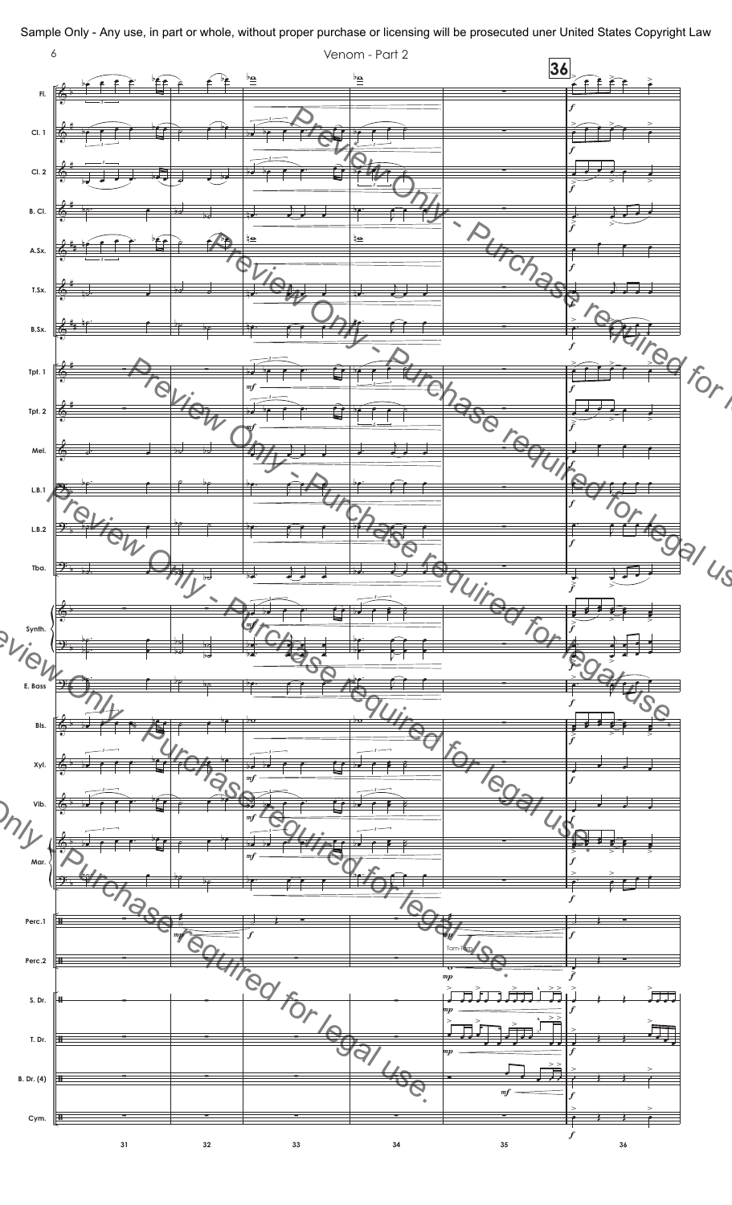Sample Only - Any use, in part or whole, without proper purchase or licensing will be prosecuted uner United States Copyright Law

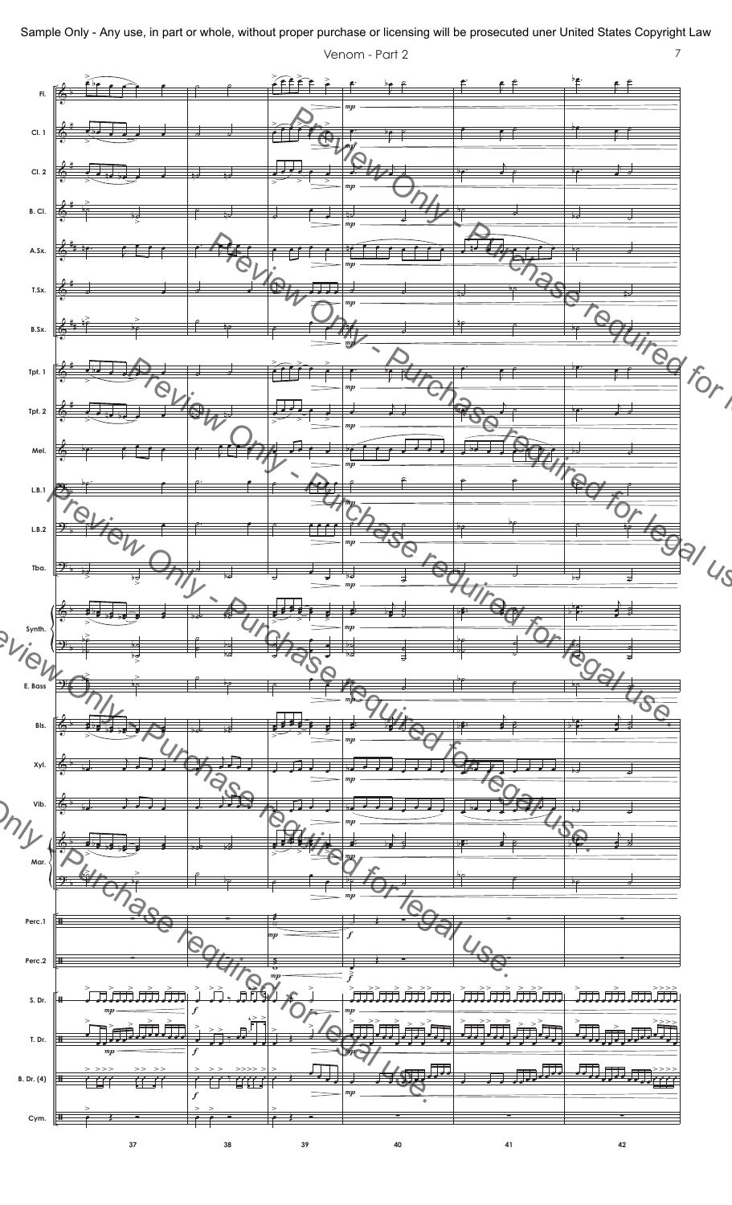

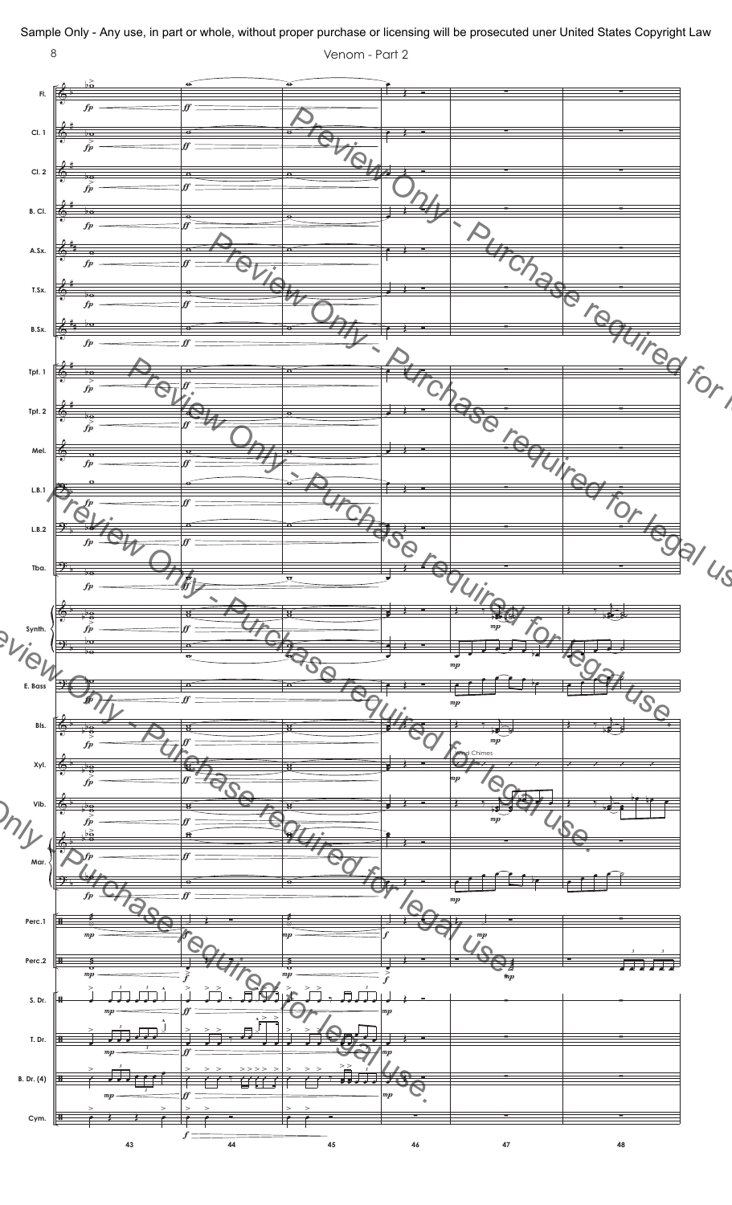

Sample Only - Any use, in part or whole, without proper purchase or licensing will be prosecuted uner United States Copyright Law